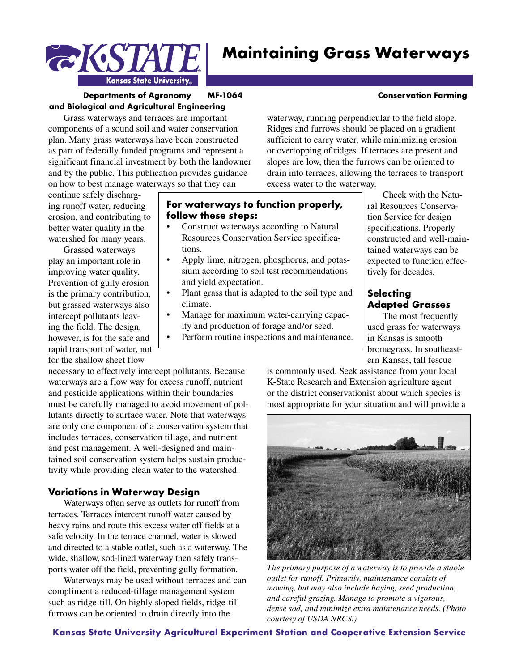

### **Departments of Agronomy MF-1064 Conservation Farming and Biological and Agricultural Engineering**

Kansas State University,

Grass waterways and terraces are important components of a sound soil and water conservation plan. Many grass waterways have been constructed as part of federally funded programs and represent a significant financial investment by both the landowner and by the public. This publication provides guidance on how to best manage waterways so that they can

continue safely discharging runoff water, reducing erosion, and contributing to better water quality in the watershed for many years.

**EKSIA** 

Grassed waterways play an important role in improving water quality. Prevention of gully erosion is the primary contribution, but grassed waterways also intercept pollutants leaving the field. The design, however, is for the safe and rapid transport of water, not for the shallow sheet flow

necessary to effectively intercept pollutants. Because waterways are a flow way for excess runoff, nutrient and pesticide applications within their boundaries must be carefully managed to avoid movement of pollutants directly to surface water. Note that waterways are only one component of a conservation system that includes terraces, conservation tillage, and nutrient and pest management. A well-designed and maintained soil conservation system helps sustain productivity while providing clean water to the watershed.

# **Variations in Waterway Design**

Waterways often serve as outlets for runoff from terraces. Terraces intercept runoff water caused by heavy rains and route this excess water off fields at a safe velocity. In the terrace channel, water is slowed and directed to a stable outlet, such as a waterway. The wide, shallow, sod-lined waterway then safely transports water off the field, preventing gully formation.

Waterways may be used without terraces and can compliment a reduced-tillage management system such as ridge-till. On highly sloped fields, ridge-till furrows can be oriented to drain directly into the

waterway, running perpendicular to the field slope. Ridges and furrows should be placed on a gradient sufficient to carry water, while minimizing erosion or overtopping of ridges. If terraces are present and slopes are low, then the furrows can be oriented to drain into terraces, allowing the terraces to transport excess water to the waterway.

# **For waterways to function properly, follow these steps:**

- Construct waterways according to Natural Resources Conservation Service specifications.
- Apply lime, nitrogen, phosphorus, and potassium according to soil test recommendations and yield expectation.
- Plant grass that is adapted to the soil type and climate.
- Manage for maximum water-carrying capacity and production of forage and/or seed.
- Perform routine inspections and maintenance.

Check with the Natural Resources Conservation Service for design specifications. Properly constructed and well-maintained waterways can be expected to function effec-

# **Selecting Adapted Grasses**

tively for decades.

The most frequently used grass for waterways in Kansas is smooth bromegrass. In southeastern Kansas, tall fescue

is commonly used. Seek assistance from your local K-State Research and Extension agriculture agent or the district conservationist about which species is most appropriate for your situation and will provide a



*The primary purpose of a waterway is to provide a stable outlet for runoff. Primarily, maintenance consists of mowing, but may also include haying, seed production, and careful grazing. Manage to promote a vigorous, dense sod, and minimize extra maintenance needs. (Photo courtesy of USDA NRCS.)*

#### **Kansas State University Agricultural Experiment Station and Cooperative Extension Service**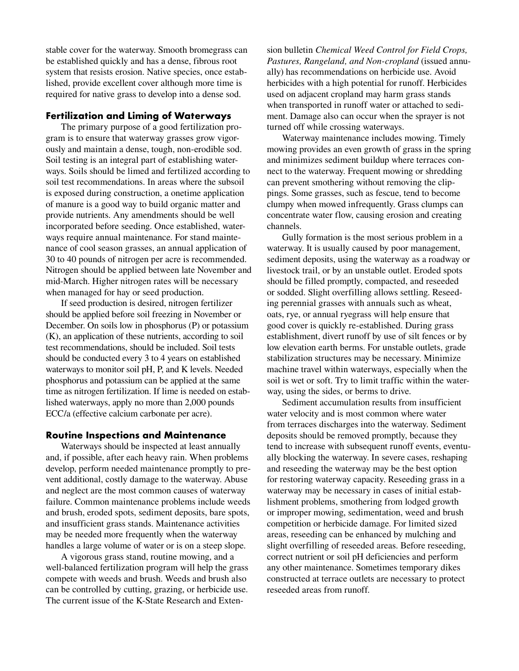stable cover for the waterway. Smooth bromegrass can be established quickly and has a dense, fibrous root system that resists erosion. Native species, once established, provide excellent cover although more time is required for native grass to develop into a dense sod.

#### **Fertilization and Liming of Waterways**

The primary purpose of a good fertilization program is to ensure that waterway grasses grow vigorously and maintain a dense, tough, non-erodible sod. Soil testing is an integral part of establishing waterways. Soils should be limed and fertilized according to soil test recommendations. In areas where the subsoil is exposed during construction, a onetime application of manure is a good way to build organic matter and provide nutrients. Any amendments should be well incorporated before seeding. Once established, waterways require annual maintenance. For stand maintenance of cool season grasses, an annual application of 30 to 40 pounds of nitrogen per acre is recommended. Nitrogen should be applied between late November and mid-March. Higher nitrogen rates will be necessary when managed for hay or seed production.

If seed production is desired, nitrogen fertilizer should be applied before soil freezing in November or December. On soils low in phosphorus (P) or potassium (K), an application of these nutrients, according to soil test recommendations, should be included. Soil tests should be conducted every 3 to 4 years on established waterways to monitor soil pH, P, and K levels. Needed phosphorus and potassium can be applied at the same time as nitrogen fertilization. If lime is needed on established waterways, apply no more than 2,000 pounds ECC/a (effective calcium carbonate per acre).

#### **Routine Inspections and Maintenance**

Waterways should be inspected at least annually and, if possible, after each heavy rain. When problems develop, perform needed maintenance promptly to prevent additional, costly damage to the waterway. Abuse and neglect are the most common causes of waterway failure. Common maintenance problems include weeds and brush, eroded spots, sediment deposits, bare spots, and insufficient grass stands. Maintenance activities may be needed more frequently when the waterway handles a large volume of water or is on a steep slope.

A vigorous grass stand, routine mowing, and a well-balanced fertilization program will help the grass compete with weeds and brush. Weeds and brush also can be controlled by cutting, grazing, or herbicide use. The current issue of the K-State Research and Extension bulletin *Chemical Weed Control for Field Crops, Pastures, Rangeland, and Non-cropland* (issued annually) has recommendations on herbicide use. Avoid herbicides with a high potential for runoff. Herbicides used on adjacent cropland may harm grass stands when transported in runoff water or attached to sediment. Damage also can occur when the sprayer is not turned off while crossing waterways.

Waterway maintenance includes mowing. Timely mowing provides an even growth of grass in the spring and minimizes sediment buildup where terraces connect to the waterway. Frequent mowing or shredding can prevent smothering without removing the clippings. Some grasses, such as fescue, tend to become clumpy when mowed infrequently. Grass clumps can concentrate water flow, causing erosion and creating channels.

Gully formation is the most serious problem in a waterway. It is usually caused by poor management, sediment deposits, using the waterway as a roadway or livestock trail, or by an unstable outlet. Eroded spots should be filled promptly, compacted, and reseeded or sodded. Slight overfilling allows settling. Reseeding perennial grasses with annuals such as wheat, oats, rye, or annual ryegrass will help ensure that good cover is quickly re-established. During grass establishment, divert runoff by use of silt fences or by low elevation earth berms. For unstable outlets, grade stabilization structures may be necessary. Minimize machine travel within waterways, especially when the soil is wet or soft. Try to limit traffic within the waterway, using the sides, or berms to drive.

Sediment accumulation results from insufficient water velocity and is most common where water from terraces discharges into the waterway. Sediment deposits should be removed promptly, because they tend to increase with subsequent runoff events, eventually blocking the waterway. In severe cases, reshaping and reseeding the waterway may be the best option for restoring waterway capacity. Reseeding grass in a waterway may be necessary in cases of initial establishment problems, smothering from lodged growth or improper mowing, sedimentation, weed and brush competition or herbicide damage. For limited sized areas, reseeding can be enhanced by mulching and slight overfilling of reseeded areas. Before reseeding, correct nutrient or soil pH deficiencies and perform any other maintenance. Sometimes temporary dikes constructed at terrace outlets are necessary to protect reseeded areas from runoff.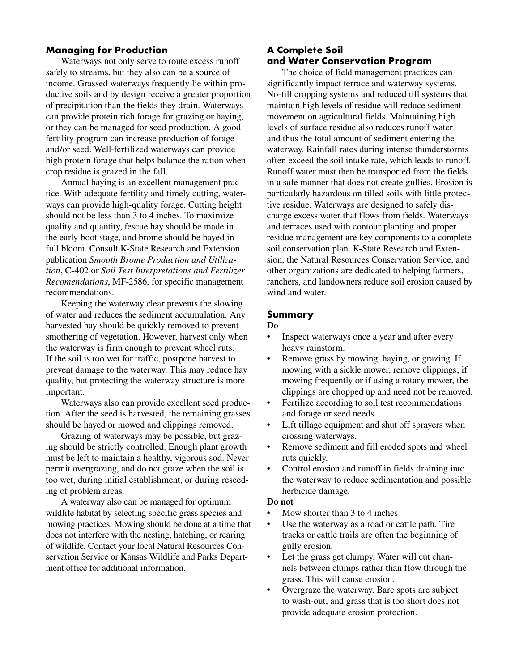## **Managing for Production**

Waterways not only serve to route excess runoff safely to streams, but they also can be a source of income. Grassed waterways frequently lie within productive soils and by design receive a greater proportion of precipitation than the fields they drain. Waterways can provide protein rich forage for grazing or haying, or they can be managed for seed production. A good fertility program can increase production of forage and/or seed. Well-fertilized waterways can provide high protein forage that helps balance the ration when crop residue is grazed in the fall.

Annual haying is an excellent management practice. With adequate fertility and timely cutting, waterways can provide high-quality forage. Cutting height should not be less than 3 to 4 inches. To maximize quality and quantity, fescue hay should be made in the early boot stage, and brome should be hayed in full bloom. Consult K-State Research and Extension publication *Smooth Brome Production and Utilization*, C-402 or *Soil Test Interpretations and Fertilizer Recomendations*, MF-2586, for specific management recommendations.

Keeping the waterway clear prevents the slowing of water and reduces the sediment accumulation. Any harvested hay should be quickly removed to prevent smothering of vegetation. However, harvest only when the waterway is firm enough to prevent wheel ruts. If the soil is too wet for traffic, postpone harvest to prevent damage to the waterway. This may reduce hay quality, but protecting the waterway structure is more important.

Waterways also can provide excellent seed production. After the seed is harvested, the remaining grasses should be hayed or mowed and clippings removed.

Grazing of waterways may be possible, but grazing should be strictly controlled. Enough plant growth must be left to maintain a healthy, vigorous sod. Never permit overgrazing, and do not graze when the soil is too wet, during initial establishment, or during reseeding of problem areas.

A waterway also can be managed for optimum wildlife habitat by selecting specific grass species and mowing practices. Mowing should be done at a time that does not interfere with the nesting, hatching, or rearing of wildlife. Contact your local Natural Resources Conservation Service or Kansas Wildlife and Parks Department office for additional information.

# **A Complete Soil and Water Conservation Program**

The choice of field management practices can significantly impact terrace and waterway systems. No-till cropping systems and reduced till systems that maintain high levels of residue will reduce sediment movement on agricultural fields. Maintaining high levels of surface residue also reduces runoff water and thus the total amount of sediment entering the waterway. Rainfall rates during intense thunderstorms often exceed the soil intake rate, which leads to runoff. Runoff water must then be transported from the fields in a safe manner that does not create gullies. Erosion is particularly hazardous on tilled soils with little protective residue. Waterways are designed to safely discharge excess water that flows from fields. Waterways and terraces used with contour planting and proper residue management are key components to a complete soil conservation plan. K-State Research and Extension, the Natural Resources Conservation Service, and other organizations are dedicated to helping farmers, ranchers, and landowners reduce soil erosion caused by wind and water.

### **Summary**

#### **Do**

- Inspect waterways once a year and after every heavy rainstorm.
- Remove grass by mowing, haying, or grazing. If mowing with a sickle mower, remove clippings; if mowing frequently or if using a rotary mower, the clippings are chopped up and need not be removed.
- Fertilize according to soil test recommendations and forage or seed needs.
- Lift tillage equipment and shut off sprayers when crossing waterways.
- Remove sediment and fill eroded spots and wheel ruts quickly.
- Control erosion and runoff in fields draining into the waterway to reduce sedimentation and possible herbicide damage.

#### **Do not**

- Mow shorter than 3 to 4 inches
- Use the waterway as a road or cattle path. Tire tracks or cattle trails are often the beginning of gully erosion.
- Let the grass get clumpy. Water will cut channels between clumps rather than flow through the grass. This will cause erosion.
- Overgraze the waterway. Bare spots are subject to wash-out, and grass that is too short does not provide adequate erosion protection.